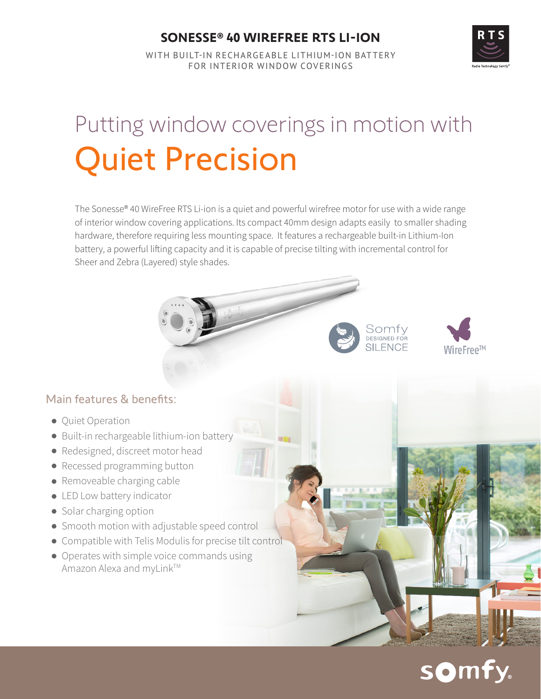### **SONESSE® 40 WIREFREE RTS LI-ION**

WITH BUILT-IN RECHARGEABLE LITHIUM-ION BATTERY FOR INTERIOR WINDOW COVERINGS

# Putting window coverings in motion with Quiet Precision

The Sonesse® 40 WireFree RTS Li-ion is a quiet and powerful wirefree motor for use with a wide range of interior window covering applications. Its compact 40mm design adapts easily to smaller shading hardware, therefore requiring less mounting space. It features a rechargeable built-in Lithium-Ion battery, a powerful lifting capacity and it is capable of precise tilting with incremental control for Sheer and Zebra (Layered) style shades.

#### Main features & benefits:

- **Quiet Operation**
- Built-in rechargeable lithium-ion battery
- Redesigned, discreet motor head
- Recessed programming button
- Removeable charging cable
- **.** LED Low battery indicator
- Solar charging option
- Smooth motion with adjustable speed control
- Compatible with Telis Modulis for precise tilt control
- Operates with simple voice commands using Amazon Alexa and myLink™

# somfy.